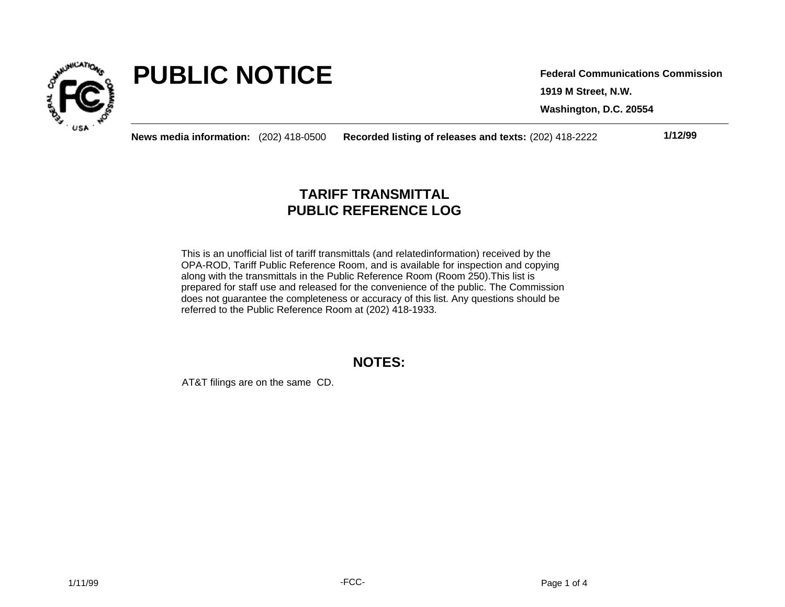

# **PUBLIC NOTICE**

**1919 M Street, N.W. Federal Communications Commission**

**Washington, D.C. 20554**

**News media information:** (202) 418-0500 **Recorded listing of releases and texts:** (202) 418-2222 **1/12/99**

## **TARIFF TRANSMITTAL PUBLIC REFERENCE LOG**

This is an unofficial list of tariff transmittals (and relatedinformation) received by the OPA-ROD, Tariff Public Reference Room, and is available for inspection and copying along with the transmittals in the Public Reference Room (Room 250).This list is prepared for staff use and released for the convenience of the public. The Commission does not guarantee the completeness or accuracy of this list. Any questions should be referred to the Public Reference Room at (202) 418-1933.

### **NOTES:**

AT&T filings are on the same CD.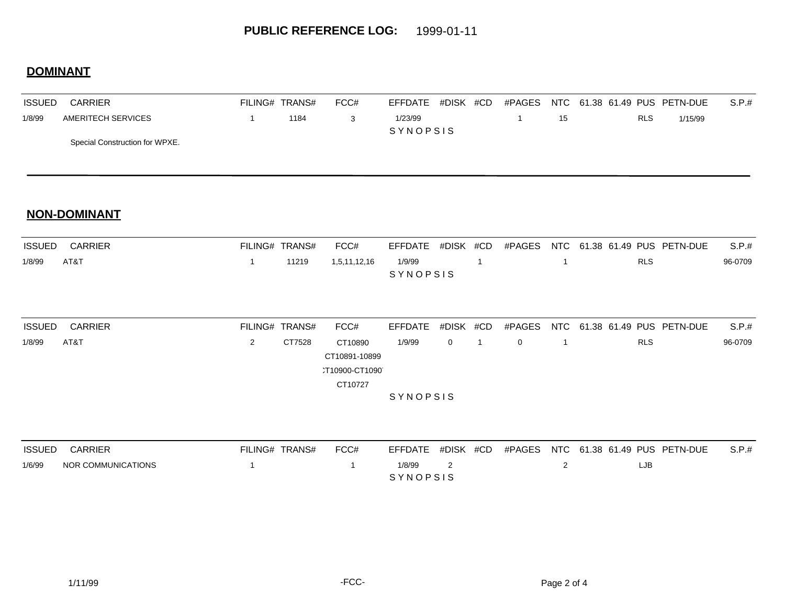## **DOMINANT**

| <b>ISSUED</b> | <b>CARRIER</b>                 | FILING# TRANS#  |      | FCC# | EFFDATE #DISK #CD |  |  |  |    | #PAGES NTC 61.38 61.49 PUS PETN-DUE |            |         | S.P.t. |
|---------------|--------------------------------|-----------------|------|------|-------------------|--|--|--|----|-------------------------------------|------------|---------|--------|
| 1/8/99        | AMERITECH SERVICES             |                 | 1184 |      | 1/23/99           |  |  |  | 15 |                                     | <b>RLS</b> | 1/15/99 |        |
|               |                                | <b>SYNOPSIS</b> |      |      |                   |  |  |  |    |                                     |            |         |        |
|               | Special Construction for WPXE. |                 |      |      |                   |  |  |  |    |                                     |            |         |        |

#### **NON-DOMINANT**

|        | <b>ISSUED CARRIER</b> | FILING# TRANS# | FCC# |                 |  |  | EFFDATE #DISK #CD #PAGES NTC 61.38 61.49 PUS PETN-DUE S.P.# |         |
|--------|-----------------------|----------------|------|-----------------|--|--|-------------------------------------------------------------|---------|
| 1/8/99 | AT&T                  |                |      | 1/9/99          |  |  | <b>RLS</b>                                                  | 96-0709 |
|        |                       |                |      | <b>SYNOPSIS</b> |  |  |                                                             |         |

| <b>ISSUED</b>   | <b>CARRIER</b> | FILING# TRANS# |        | FCC#          | EFFDATE #DISK #CD |                |          | #PAGES   |  | NTC 61.38 61.49 PUS PETN-DUE | S.P.#   |
|-----------------|----------------|----------------|--------|---------------|-------------------|----------------|----------|----------|--|------------------------------|---------|
| 1/8/99          | AT&T           | 2              | CT7528 | CT10890       | 1/9/99            | $\overline{0}$ | $\sim$ 1 | $\Omega$ |  | <b>RLS</b>                   | 96-0709 |
|                 |                |                |        | CT10891-10899 |                   |                |          |          |  |                              |         |
|                 |                |                |        | T10900-CT1090 |                   |                |          |          |  |                              |         |
|                 |                |                |        | CT10727       |                   |                |          |          |  |                              |         |
| <b>SYNOPSIS</b> |                |                |        |               |                   |                |          |          |  |                              |         |

| <b>ISSUED</b> | CARRIER            | FILING# TRANS# | FCC# |                 |  | EFFDATE #DISK #CD #PAGES NTC 61.38 61.49 PUS PETN-DUE | S.P.t. |
|---------------|--------------------|----------------|------|-----------------|--|-------------------------------------------------------|--------|
| 1/6/99        | NOR COMMUNICATIONS |                |      | 1/8/99          |  | _JB.                                                  |        |
|               |                    |                |      | <b>SYNOPSIS</b> |  |                                                       |        |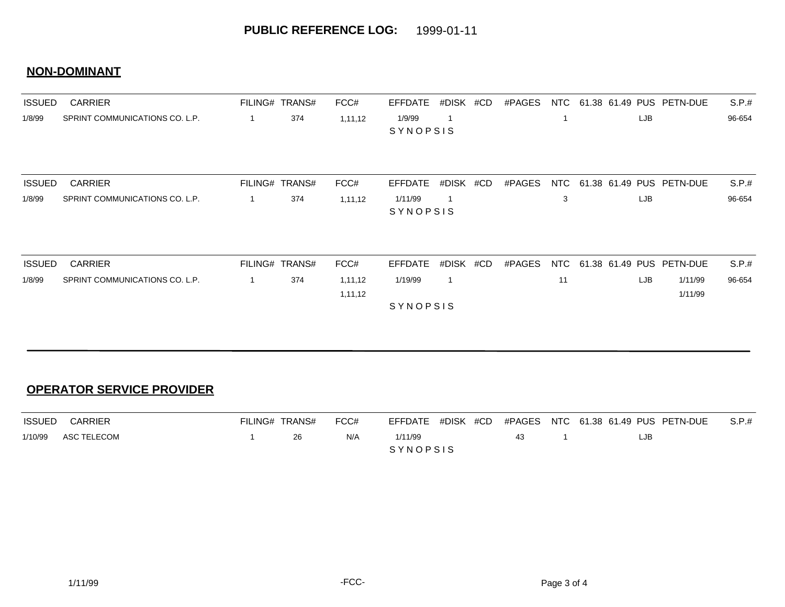#### **NON-DOMINANT**

| <b>ISSUED</b> | <b>CARRIER</b>                 |   | FILING# TRANS# | FCC#    | <b>EFFDATE</b> | #DISK       | #CD | #PAGES | NTC |     | 61.38 61.49 PUS PETN-DUE | S.P.#  |
|---------------|--------------------------------|---|----------------|---------|----------------|-------------|-----|--------|-----|-----|--------------------------|--------|
| 1/8/99        | SPRINT COMMUNICATIONS CO. L.P. | 1 | 374            | 1,11,12 | 1/9/99         |             |     |        |     | LJB |                          | 96-654 |
|               |                                |   |                |         | SYNOPSIS       |             |     |        |     |     |                          |        |
| <b>ISSUED</b> | <b>CARRIER</b>                 |   | FILING# TRANS# | FCC#    | <b>EFFDATE</b> | #DISK #CD   |     | #PAGES | NTC |     | 61.38 61.49 PUS PETN-DUE | S.P.#  |
| 1/8/99        | SPRINT COMMUNICATIONS CO. L.P. |   | 374            | 1,11,12 | 1/11/99        |             |     |        | 3   | LJB |                          | 96-654 |
|               |                                |   |                |         | SYNOPSIS       |             |     |        |     |     |                          |        |
| <b>ISSUED</b> | <b>CARRIER</b>                 |   | FILING# TRANS# | FCC#    | <b>EFFDATE</b> | #DISK #CD   |     | #PAGES | NTC |     | 61.38 61.49 PUS PETN-DUE | S.P.#  |
| 1/8/99        | SPRINT COMMUNICATIONS CO. L.P. |   | 374            | 1,11,12 | 1/19/99        | $\mathbf 1$ |     |        | 11  | LJB | 1/11/99                  | 96-654 |
|               |                                |   |                |         |                |             |     |        |     |     | 1/11/99                  |        |
|               |                                |   |                | 1,11,12 | SYNOPSIS       |             |     |        |     |     |                          |        |

#### **OPERATOR SERVICE PROVIDER**

|         | <b>ISSUED CARRIER</b> | FILING# TRANS# |      | FCC# |                 |  |    |      | EFFDATE #DISK #CD #PAGES NTC 61.38 61.49 PUS PETN-DUE S.P.# |
|---------|-----------------------|----------------|------|------|-----------------|--|----|------|-------------------------------------------------------------|
| 1/10/99 | ASC TELECOM           |                | -26. | N/A  | 1/11/99         |  | 43 | LJB. |                                                             |
|         |                       |                |      |      | <b>SYNOPSIS</b> |  |    |      |                                                             |